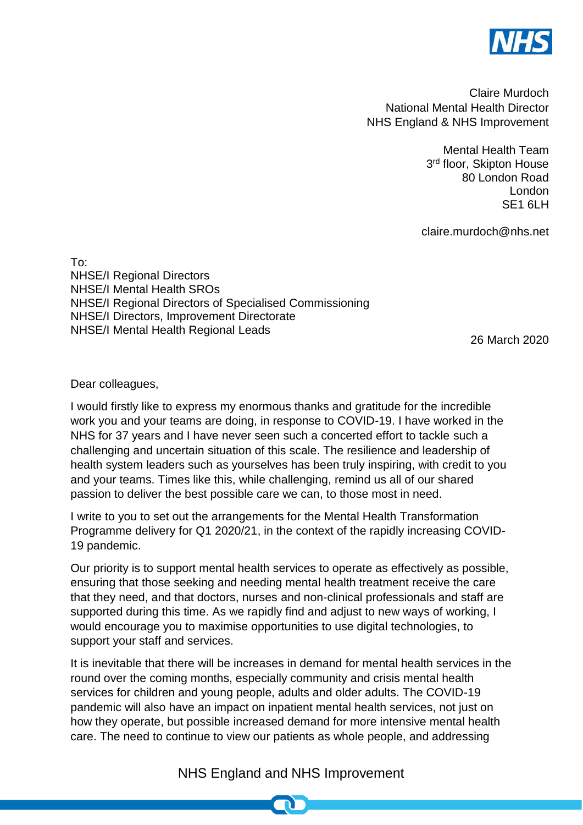

Claire Murdoch National Mental Health Director NHS England & NHS Improvement

> Mental Health Team 3<sup>rd</sup> floor, Skipton House 80 London Road London SF<sub>1</sub> 6LH

> claire.murdoch@nhs.net

To: NHSE/I Regional Directors NHSE/I Mental Health SROs NHSE/I Regional Directors of Specialised Commissioning NHSE/I Directors, Improvement Directorate NHSE/I Mental Health Regional Leads

26 March 2020

Dear colleagues,

I would firstly like to express my enormous thanks and gratitude for the incredible work you and your teams are doing, in response to COVID-19. I have worked in the NHS for 37 years and I have never seen such a concerted effort to tackle such a challenging and uncertain situation of this scale. The resilience and leadership of health system leaders such as yourselves has been truly inspiring, with credit to you and your teams. Times like this, while challenging, remind us all of our shared passion to deliver the best possible care we can, to those most in need.

I write to you to set out the arrangements for the Mental Health Transformation Programme delivery for Q1 2020/21, in the context of the rapidly increasing COVID-19 pandemic.

Our priority is to support mental health services to operate as effectively as possible, ensuring that those seeking and needing mental health treatment receive the care that they need, and that doctors, nurses and non-clinical professionals and staff are supported during this time. As we rapidly find and adjust to new ways of working, I would encourage you to maximise opportunities to use digital technologies, to support your staff and services.

It is inevitable that there will be increases in demand for mental health services in the round over the coming months, especially community and crisis mental health services for children and young people, adults and older adults. The COVID-19 pandemic will also have an impact on inpatient mental health services, not just on how they operate, but possible increased demand for more intensive mental health care. The need to continue to view our patients as whole people, and addressing

## NHS England and NHS Improvement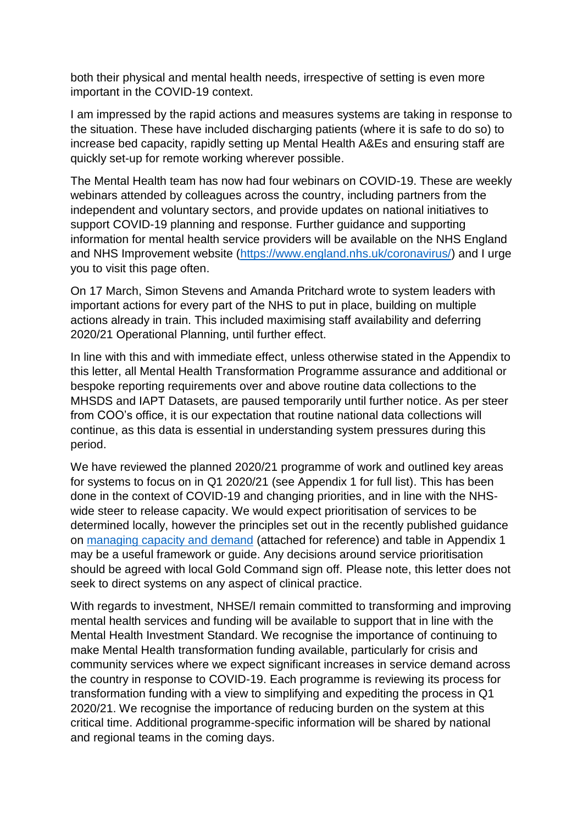both their physical and mental health needs, irrespective of setting is even more important in the COVID-19 context.

I am impressed by the rapid actions and measures systems are taking in response to the situation. These have included discharging patients (where it is safe to do so) to increase bed capacity, rapidly setting up Mental Health A&Es and ensuring staff are quickly set-up for remote working wherever possible.

The Mental Health team has now had four webinars on COVID-19. These are weekly webinars attended by colleagues across the country, including partners from the independent and voluntary sectors, and provide updates on national initiatives to support COVID-19 planning and response. Further guidance and supporting information for mental health service providers will be available on the NHS England and NHS Improvement website [\(https://www.england.nhs.uk/coronavirus/\)](https://www.england.nhs.uk/coronavirus/) and I urge you to visit this page often.

On 17 March, Simon Stevens and Amanda Pritchard wrote to system leaders with important actions for every part of the NHS to put in place, building on multiple actions already in train. This included maximising staff availability and deferring 2020/21 Operational Planning, until further effect.

In line with this and with immediate effect, unless otherwise stated in the Appendix to this letter, all Mental Health Transformation Programme assurance and additional or bespoke reporting requirements over and above routine data collections to the MHSDS and IAPT Datasets, are paused temporarily until further notice. As per steer from COO's office, it is our expectation that routine national data collections will continue, as this data is essential in understanding system pressures during this period.

We have reviewed the planned 2020/21 programme of work and outlined key areas for systems to focus on in Q1 2020/21 (see Appendix 1 for full list). This has been done in the context of COVID-19 and changing priorities, and in line with the NHSwide steer to release capacity. We would expect prioritisation of services to be determined locally, however the principles set out in the recently published guidance on [managing capacity and demand](https://www.england.nhs.uk/coronavirus/secondary-care/other-resources/mental-health-learning-disabilities-and-autism/?preview=true) (attached for reference) and table in Appendix 1 may be a useful framework or guide. Any decisions around service prioritisation should be agreed with local Gold Command sign off. Please note, this letter does not seek to direct systems on any aspect of clinical practice.

With regards to investment, NHSE/I remain committed to transforming and improving mental health services and funding will be available to support that in line with the Mental Health Investment Standard. We recognise the importance of continuing to make Mental Health transformation funding available, particularly for crisis and community services where we expect significant increases in service demand across the country in response to COVID-19. Each programme is reviewing its process for transformation funding with a view to simplifying and expediting the process in Q1 2020/21. We recognise the importance of reducing burden on the system at this critical time. Additional programme-specific information will be shared by national and regional teams in the coming days.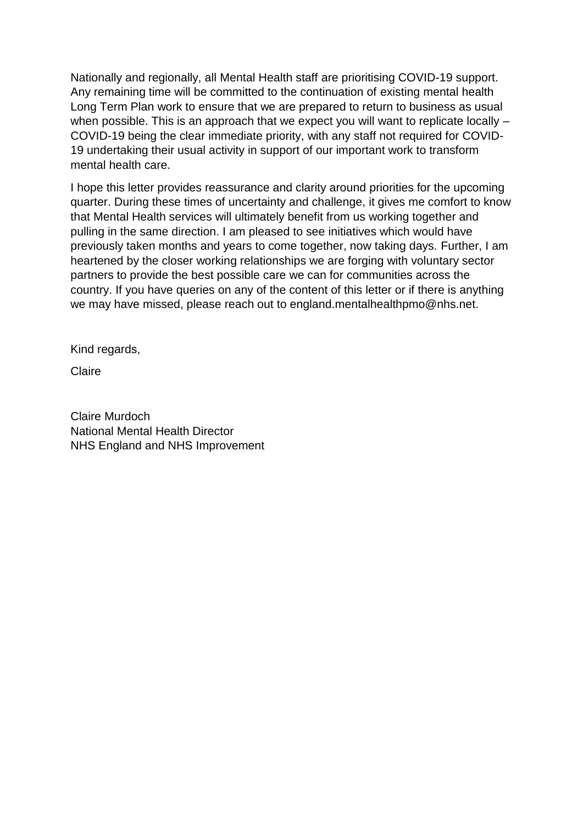Nationally and regionally, all Mental Health staff are prioritising COVID-19 support. Any remaining time will be committed to the continuation of existing mental health Long Term Plan work to ensure that we are prepared to return to business as usual when possible. This is an approach that we expect you will want to replicate locally – COVID-19 being the clear immediate priority, with any staff not required for COVID-19 undertaking their usual activity in support of our important work to transform mental health care.

I hope this letter provides reassurance and clarity around priorities for the upcoming quarter. During these times of uncertainty and challenge, it gives me comfort to know that Mental Health services will ultimately benefit from us working together and pulling in the same direction. I am pleased to see initiatives which would have previously taken months and years to come together, now taking days. Further, I am heartened by the closer working relationships we are forging with voluntary sector partners to provide the best possible care we can for communities across the country. If you have queries on any of the content of this letter or if there is anything we may have missed, please reach out to england.mentalhealthpmo@nhs.net.

Kind regards,

Claire

Claire Murdoch National Mental Health Director NHS England and NHS Improvement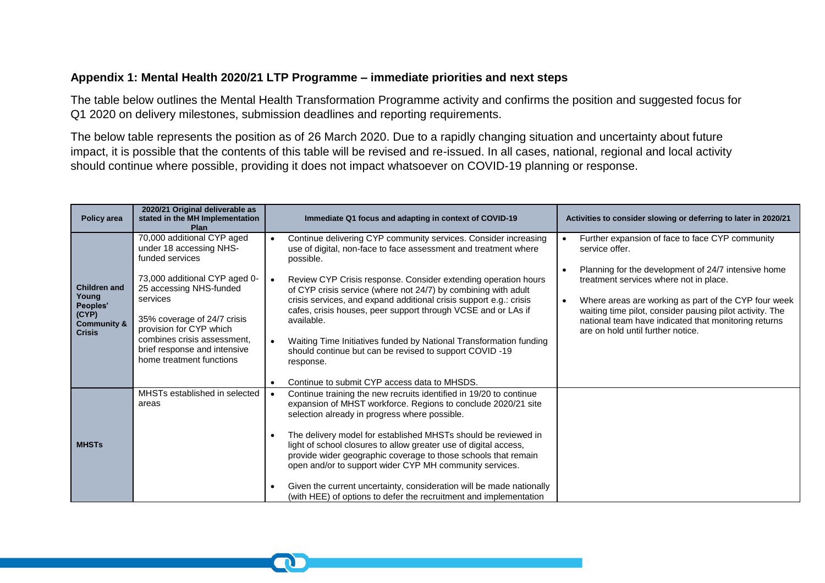## **Appendix 1: Mental Health 2020/21 LTP Programme – immediate priorities and next steps**

The table below outlines the Mental Health Transformation Programme activity and confirms the position and suggested focus for Q1 2020 on delivery milestones, submission deadlines and reporting requirements.

The below table represents the position as of 26 March 2020. Due to a rapidly changing situation and uncertainty about future impact, it is possible that the contents of this table will be revised and re-issued. In all cases, national, regional and local activity should continue where possible, providing it does not impact whatsoever on COVID-19 planning or response.

| Policy area                                                                                  | 2020/21 Original deliverable as<br>stated in the MH Implementation<br>Plan                                                                                                                                                                                                                            | Immediate Q1 focus and adapting in context of COVID-19                                                                                                                                                                                                                                                                                                                                                                                                                                                                                                                                                                                                                       | Activities to consider slowing or deferring to later in 2020/21                                                                                                                                                                                                                                                                                                                                               |
|----------------------------------------------------------------------------------------------|-------------------------------------------------------------------------------------------------------------------------------------------------------------------------------------------------------------------------------------------------------------------------------------------------------|------------------------------------------------------------------------------------------------------------------------------------------------------------------------------------------------------------------------------------------------------------------------------------------------------------------------------------------------------------------------------------------------------------------------------------------------------------------------------------------------------------------------------------------------------------------------------------------------------------------------------------------------------------------------------|---------------------------------------------------------------------------------------------------------------------------------------------------------------------------------------------------------------------------------------------------------------------------------------------------------------------------------------------------------------------------------------------------------------|
| <b>Children and</b><br>Young<br>Peoples'<br>(CYP)<br><b>Community &amp;</b><br><b>Crisis</b> | 70,000 additional CYP aged<br>under 18 accessing NHS-<br>funded services<br>73,000 additional CYP aged 0-<br>25 accessing NHS-funded<br>services<br>35% coverage of 24/7 crisis<br>provision for CYP which<br>combines crisis assessment.<br>brief response and intensive<br>home treatment functions | Continue delivering CYP community services. Consider increasing<br>use of digital, non-face to face assessment and treatment where<br>possible.<br>Review CYP Crisis response. Consider extending operation hours<br>$\bullet$<br>of CYP crisis service (where not 24/7) by combining with adult<br>crisis services, and expand additional crisis support e.g.: crisis<br>cafes, crisis houses, peer support through VCSE and or LAs if<br>available.<br>Waiting Time Initiatives funded by National Transformation funding<br>$\bullet$<br>should continue but can be revised to support COVID-19<br>response.<br>Continue to submit CYP access data to MHSDS.<br>$\bullet$ | Further expansion of face to face CYP community<br>$\bullet$<br>service offer.<br>Planning for the development of 24/7 intensive home<br>treatment services where not in place.<br>Where areas are working as part of the CYP four week<br>$\bullet$<br>waiting time pilot, consider pausing pilot activity. The<br>national team have indicated that monitoring returns<br>are on hold until further notice. |
| <b>MHSTs</b>                                                                                 | MHSTs established in selected<br>areas                                                                                                                                                                                                                                                                | Continue training the new recruits identified in 19/20 to continue<br>expansion of MHST workforce. Regions to conclude 2020/21 site<br>selection already in progress where possible.<br>The delivery model for established MHSTs should be reviewed in<br>$\bullet$<br>light of school closures to allow greater use of digital access,<br>provide wider geographic coverage to those schools that remain<br>open and/or to support wider CYP MH community services.<br>Given the current uncertainty, consideration will be made nationally<br>$\bullet$<br>(with HEE) of options to defer the recruitment and implementation                                               |                                                                                                                                                                                                                                                                                                                                                                                                               |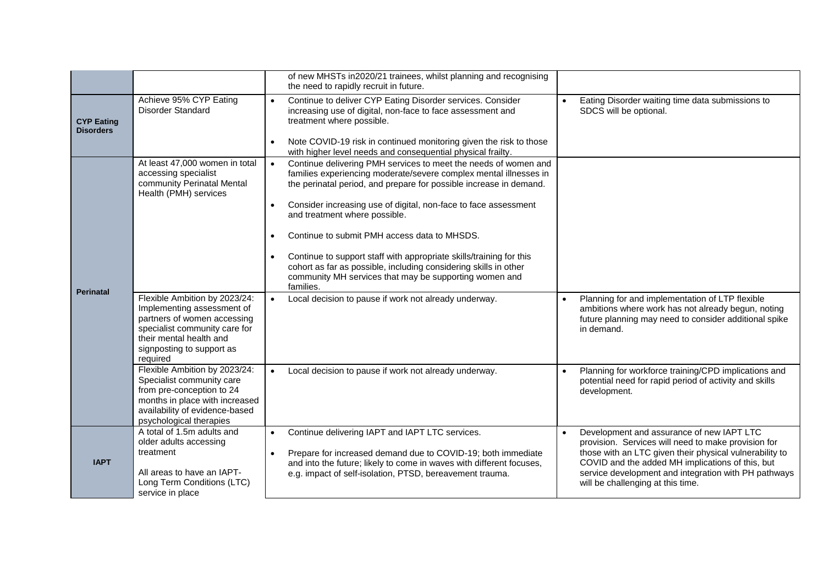|                                       |                                                                                                                                                                                                 | of new MHSTs in2020/21 trainees, whilst planning and recognising<br>the need to rapidly recruit in future.                                                                                                                                                                                                                                                                                                                                                                                                                                                                                                              |                                                                                                                                                                                                                                                                                                                           |
|---------------------------------------|-------------------------------------------------------------------------------------------------------------------------------------------------------------------------------------------------|-------------------------------------------------------------------------------------------------------------------------------------------------------------------------------------------------------------------------------------------------------------------------------------------------------------------------------------------------------------------------------------------------------------------------------------------------------------------------------------------------------------------------------------------------------------------------------------------------------------------------|---------------------------------------------------------------------------------------------------------------------------------------------------------------------------------------------------------------------------------------------------------------------------------------------------------------------------|
| <b>CYP Eating</b><br><b>Disorders</b> | Achieve 95% CYP Eating<br><b>Disorder Standard</b>                                                                                                                                              | Continue to deliver CYP Eating Disorder services. Consider<br>$\bullet$<br>increasing use of digital, non-face to face assessment and<br>treatment where possible.<br>Note COVID-19 risk in continued monitoring given the risk to those<br>$\bullet$<br>with higher level needs and consequential physical frailty.                                                                                                                                                                                                                                                                                                    | Eating Disorder waiting time data submissions to<br>$\bullet$<br>SDCS will be optional.                                                                                                                                                                                                                                   |
|                                       | At least 47,000 women in total<br>accessing specialist<br>community Perinatal Mental<br>Health (PMH) services                                                                                   | Continue delivering PMH services to meet the needs of women and<br>$\bullet$<br>families experiencing moderate/severe complex mental illnesses in<br>the perinatal period, and prepare for possible increase in demand.<br>Consider increasing use of digital, non-face to face assessment<br>$\bullet$<br>and treatment where possible.<br>Continue to submit PMH access data to MHSDS.<br>Continue to support staff with appropriate skills/training for this<br>$\bullet$<br>cohort as far as possible, including considering skills in other<br>community MH services that may be supporting women and<br>families. |                                                                                                                                                                                                                                                                                                                           |
| <b>Perinatal</b>                      | Flexible Ambition by 2023/24:<br>Implementing assessment of<br>partners of women accessing<br>specialist community care for<br>their mental health and<br>signposting to support as<br>required | Local decision to pause if work not already underway.<br>$\bullet$                                                                                                                                                                                                                                                                                                                                                                                                                                                                                                                                                      | Planning for and implementation of LTP flexible<br>ambitions where work has not already begun, noting<br>future planning may need to consider additional spike<br>in demand.                                                                                                                                              |
|                                       | Flexible Ambition by 2023/24:<br>Specialist community care<br>from pre-conception to 24<br>months in place with increased<br>availability of evidence-based<br>psychological therapies          | Local decision to pause if work not already underway.<br>$\bullet$                                                                                                                                                                                                                                                                                                                                                                                                                                                                                                                                                      | Planning for workforce training/CPD implications and<br>$\bullet$<br>potential need for rapid period of activity and skills<br>development.                                                                                                                                                                               |
| <b>IAPT</b>                           | A total of 1.5m adults and<br>older adults accessing<br>treatment<br>All areas to have an IAPT-<br>Long Term Conditions (LTC)<br>service in place                                               | Continue delivering IAPT and IAPT LTC services.<br>$\bullet$<br>Prepare for increased demand due to COVID-19; both immediate<br>$\bullet$<br>and into the future; likely to come in waves with different focuses,<br>e.g. impact of self-isolation, PTSD, bereavement trauma.                                                                                                                                                                                                                                                                                                                                           | Development and assurance of new IAPT LTC<br>$\bullet$<br>provision. Services will need to make provision for<br>those with an LTC given their physical vulnerability to<br>COVID and the added MH implications of this, but<br>service development and integration with PH pathways<br>will be challenging at this time. |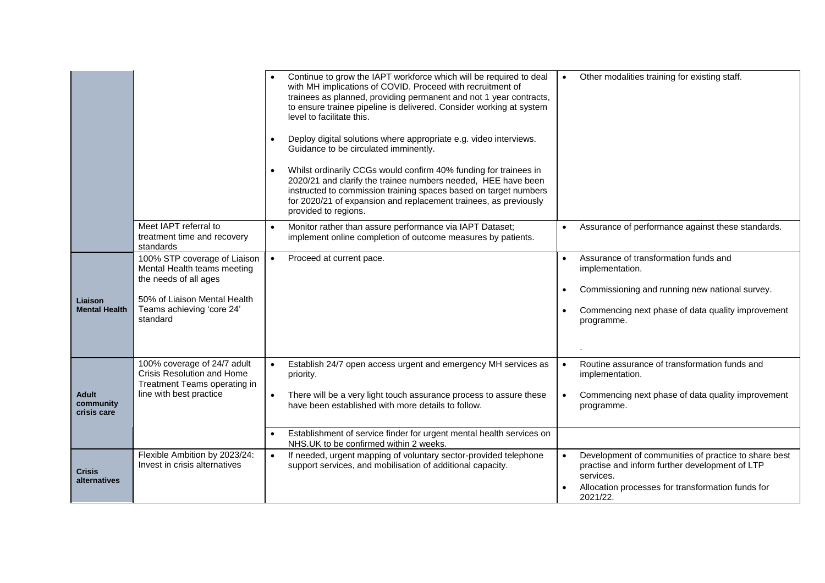|                                          |                                                                                                                                                               | Continue to grow the IAPT workforce which will be required to deal<br>with MH implications of COVID. Proceed with recruitment of<br>trainees as planned, providing permanent and not 1 year contracts,<br>to ensure trainee pipeline is delivered. Consider working at system<br>level to facilitate this.<br>Deploy digital solutions where appropriate e.g. video interviews.<br>$\bullet$<br>Guidance to be circulated imminently.<br>Whilst ordinarily CCGs would confirm 40% funding for trainees in<br>$\bullet$<br>2020/21 and clarify the trainee numbers needed, HEE have been<br>instructed to commission training spaces based on target numbers<br>for 2020/21 of expansion and replacement trainees, as previously<br>provided to regions. | Other modalities training for existing staff.<br>$\bullet$                                                                                                                                 |
|------------------------------------------|---------------------------------------------------------------------------------------------------------------------------------------------------------------|---------------------------------------------------------------------------------------------------------------------------------------------------------------------------------------------------------------------------------------------------------------------------------------------------------------------------------------------------------------------------------------------------------------------------------------------------------------------------------------------------------------------------------------------------------------------------------------------------------------------------------------------------------------------------------------------------------------------------------------------------------|--------------------------------------------------------------------------------------------------------------------------------------------------------------------------------------------|
|                                          | Meet IAPT referral to<br>treatment time and recovery<br>standards                                                                                             | Monitor rather than assure performance via IAPT Dataset;<br>$\bullet$<br>implement online completion of outcome measures by patients.                                                                                                                                                                                                                                                                                                                                                                                                                                                                                                                                                                                                                   | Assurance of performance against these standards.<br>$\bullet$                                                                                                                             |
| Liaison<br><b>Mental Health</b>          | 100% STP coverage of Liaison<br>Mental Health teams meeting<br>the needs of all ages<br>50% of Liaison Mental Health<br>Teams achieving 'core 24'<br>standard | Proceed at current pace.<br>$\bullet$                                                                                                                                                                                                                                                                                                                                                                                                                                                                                                                                                                                                                                                                                                                   | Assurance of transformation funds and<br>$\bullet$<br>implementation.<br>Commissioning and running new national survey.<br>Commencing next phase of data quality improvement<br>programme. |
| <b>Adult</b><br>community<br>crisis care | 100% coverage of 24/7 adult<br>Crisis Resolution and Home<br>Treatment Teams operating in<br>line with best practice                                          | Establish 24/7 open access urgent and emergency MH services as<br>$\bullet$<br>priority.<br>There will be a very light touch assurance process to assure these<br>$\bullet$<br>have been established with more details to follow.<br>Establishment of service finder for urgent mental health services on<br>$\bullet$<br>NHS.UK to be confirmed within 2 weeks.                                                                                                                                                                                                                                                                                                                                                                                        | Routine assurance of transformation funds and<br>$\bullet$<br>implementation.<br>Commencing next phase of data quality improvement<br>$\bullet$<br>programme.                              |
| <b>Crisis</b><br>alternatives            | Flexible Ambition by 2023/24:<br>Invest in crisis alternatives                                                                                                | If needed, urgent mapping of voluntary sector-provided telephone<br>$\bullet$<br>support services, and mobilisation of additional capacity.                                                                                                                                                                                                                                                                                                                                                                                                                                                                                                                                                                                                             | Development of communities of practice to share best<br>practise and inform further development of LTP<br>services.<br>Allocation processes for transformation funds for<br>2021/22.       |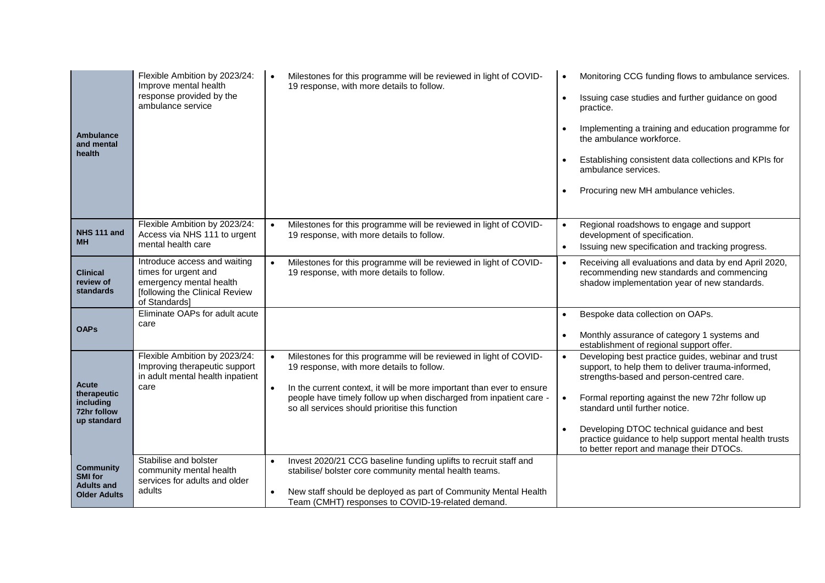|                                                  | Flexible Ambition by 2023/24:<br>Improve mental health                                                                             | Milestones for this programme will be reviewed in light of COVID-<br>19 response, with more details to follow.                                                                                              | $\bullet$ | Monitoring CCG funding flows to ambulance services.                                                                                                 |
|--------------------------------------------------|------------------------------------------------------------------------------------------------------------------------------------|-------------------------------------------------------------------------------------------------------------------------------------------------------------------------------------------------------------|-----------|-----------------------------------------------------------------------------------------------------------------------------------------------------|
|                                                  | response provided by the<br>ambulance service                                                                                      |                                                                                                                                                                                                             | $\bullet$ | Issuing case studies and further guidance on good<br>practice.                                                                                      |
| <b>Ambulance</b><br>and mental                   |                                                                                                                                    |                                                                                                                                                                                                             | $\bullet$ | Implementing a training and education programme for<br>the ambulance workforce.                                                                     |
| health                                           |                                                                                                                                    |                                                                                                                                                                                                             | $\bullet$ | Establishing consistent data collections and KPIs for<br>ambulance services.                                                                        |
|                                                  |                                                                                                                                    |                                                                                                                                                                                                             | $\bullet$ | Procuring new MH ambulance vehicles.                                                                                                                |
|                                                  | Flexible Ambition by 2023/24:                                                                                                      | Milestones for this programme will be reviewed in light of COVID-                                                                                                                                           | $\bullet$ | Regional roadshows to engage and support                                                                                                            |
| NHS 111 and                                      | Access via NHS 111 to urgent                                                                                                       | 19 response, with more details to follow.                                                                                                                                                                   |           | development of specification.                                                                                                                       |
| <b>MH</b>                                        | mental health care                                                                                                                 |                                                                                                                                                                                                             | $\bullet$ | Issuing new specification and tracking progress.                                                                                                    |
| <b>Clinical</b><br>review of<br><b>standards</b> | Introduce access and waiting<br>times for urgent and<br>emergency mental health<br>[following the Clinical Review<br>of Standards] | Milestones for this programme will be reviewed in light of COVID-<br>19 response, with more details to follow.                                                                                              | $\bullet$ | Receiving all evaluations and data by end April 2020,<br>recommending new standards and commencing<br>shadow implementation year of new standards.  |
|                                                  | Eliminate OAPs for adult acute                                                                                                     |                                                                                                                                                                                                             | $\bullet$ | Bespoke data collection on OAPs.                                                                                                                    |
| <b>OAPs</b>                                      | care                                                                                                                               |                                                                                                                                                                                                             | $\bullet$ | Monthly assurance of category 1 systems and<br>establishment of regional support offer.                                                             |
|                                                  | Flexible Ambition by 2023/24:<br>Improving therapeutic support<br>in adult mental health inpatient                                 | Milestones for this programme will be reviewed in light of COVID-<br>19 response, with more details to follow.                                                                                              | $\bullet$ | Developing best practice guides, webinar and trust<br>support, to help them to deliver trauma-informed,<br>strengths-based and person-centred care. |
| Acute<br>therapeutic<br>including<br>72hr follow | care                                                                                                                               | In the current context, it will be more important than ever to ensure<br>$\bullet$<br>people have timely follow up when discharged from inpatient care -<br>so all services should prioritise this function | $\bullet$ | Formal reporting against the new 72hr follow up<br>standard until further notice.                                                                   |
| up standard                                      |                                                                                                                                    |                                                                                                                                                                                                             | $\bullet$ | Developing DTOC technical guidance and best<br>practice guidance to help support mental health trusts<br>to better report and manage their DTOCs.   |
| <b>Community</b><br><b>SMI</b> for               | Stabilise and bolster<br>community mental health<br>services for adults and older                                                  | Invest 2020/21 CCG baseline funding uplifts to recruit staff and<br>stabilise/ bolster core community mental health teams.                                                                                  |           |                                                                                                                                                     |
| <b>Adults and</b><br><b>Older Adults</b>         | adults                                                                                                                             | New staff should be deployed as part of Community Mental Health<br>Team (CMHT) responses to COVID-19-related demand.                                                                                        |           |                                                                                                                                                     |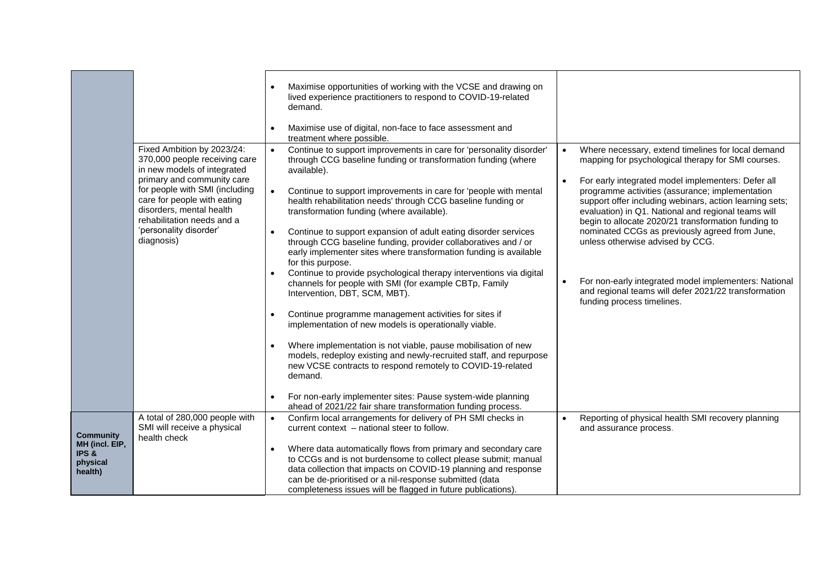|                                                |                                                                                                                                                       | Maximise opportunities of working with the VCSE and drawing on<br>$\bullet$<br>lived experience practitioners to respond to COVID-19-related<br>demand.                                                                                                                                                                                    |                                                                                                                                                                                                                                                                                             |
|------------------------------------------------|-------------------------------------------------------------------------------------------------------------------------------------------------------|--------------------------------------------------------------------------------------------------------------------------------------------------------------------------------------------------------------------------------------------------------------------------------------------------------------------------------------------|---------------------------------------------------------------------------------------------------------------------------------------------------------------------------------------------------------------------------------------------------------------------------------------------|
|                                                |                                                                                                                                                       | Maximise use of digital, non-face to face assessment and<br>$\bullet$<br>treatment where possible.                                                                                                                                                                                                                                         |                                                                                                                                                                                                                                                                                             |
|                                                | Fixed Ambition by 2023/24:<br>370,000 people receiving care<br>in new models of integrated                                                            | Continue to support improvements in care for 'personality disorder'<br>$\bullet$<br>through CCG baseline funding or transformation funding (where<br>available).                                                                                                                                                                           | Where necessary, extend timelines for local demand<br>$\bullet$<br>mapping for psychological therapy for SMI courses.                                                                                                                                                                       |
|                                                | primary and community care<br>for people with SMI (including<br>care for people with eating<br>disorders, mental health<br>rehabilitation needs and a | $\bullet$<br>Continue to support improvements in care for 'people with mental<br>health rehabilitation needs' through CCG baseline funding or<br>transformation funding (where available).                                                                                                                                                 | For early integrated model implementers: Defer all<br>$\bullet$<br>programme activities (assurance; implementation<br>support offer including webinars, action learning sets;<br>evaluation) in Q1. National and regional teams will<br>begin to allocate 2020/21 transformation funding to |
|                                                | 'personality disorder'<br>diagnosis)                                                                                                                  | Continue to support expansion of adult eating disorder services<br>$\bullet$<br>through CCG baseline funding, provider collaboratives and / or<br>early implementer sites where transformation funding is available<br>for this purpose.                                                                                                   | nominated CCGs as previously agreed from June,<br>unless otherwise advised by CCG.                                                                                                                                                                                                          |
|                                                |                                                                                                                                                       | Continue to provide psychological therapy interventions via digital<br>$\bullet$<br>channels for people with SMI (for example CBTp, Family<br>Intervention, DBT, SCM, MBT).                                                                                                                                                                | For non-early integrated model implementers: National<br>and regional teams will defer 2021/22 transformation<br>funding process timelines.                                                                                                                                                 |
|                                                |                                                                                                                                                       | Continue programme management activities for sites if<br>$\bullet$<br>implementation of new models is operationally viable.                                                                                                                                                                                                                |                                                                                                                                                                                                                                                                                             |
|                                                |                                                                                                                                                       | Where implementation is not viable, pause mobilisation of new<br>$\bullet$<br>models, redeploy existing and newly-recruited staff, and repurpose<br>new VCSE contracts to respond remotely to COVID-19-related<br>demand.                                                                                                                  |                                                                                                                                                                                                                                                                                             |
|                                                |                                                                                                                                                       | For non-early implementer sites: Pause system-wide planning<br>$\bullet$<br>ahead of 2021/22 fair share transformation funding process.                                                                                                                                                                                                    |                                                                                                                                                                                                                                                                                             |
| <b>Community</b>                               | A total of 280,000 people with<br>SMI will receive a physical<br>health check                                                                         | Confirm local arrangements for delivery of PH SMI checks in<br>$\bullet$<br>current context – national steer to follow.                                                                                                                                                                                                                    | Reporting of physical health SMI recovery planning<br>$\bullet$<br>and assurance process.                                                                                                                                                                                                   |
| MH (incl. EIP,<br>IPS &<br>physical<br>health) |                                                                                                                                                       | Where data automatically flows from primary and secondary care<br>$\bullet$<br>to CCGs and is not burdensome to collect please submit; manual<br>data collection that impacts on COVID-19 planning and response<br>can be de-prioritised or a nil-response submitted (data<br>completeness issues will be flagged in future publications). |                                                                                                                                                                                                                                                                                             |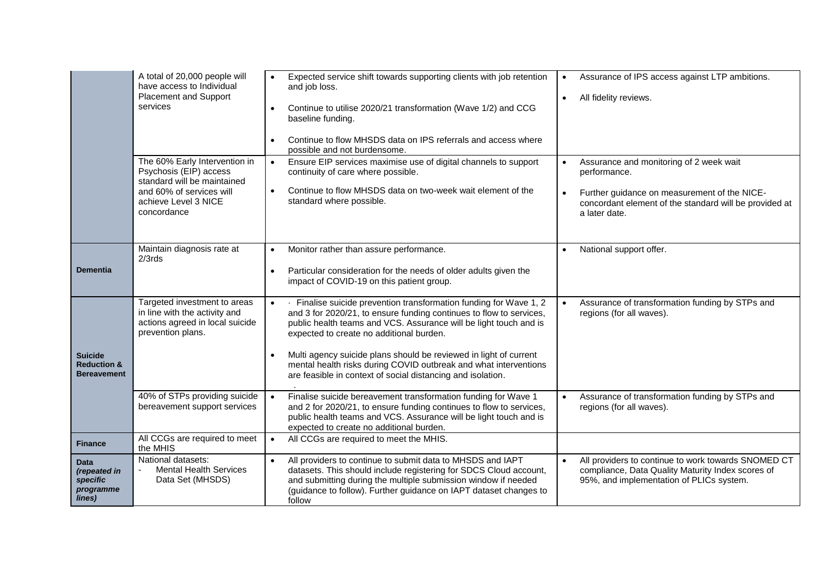|                                                                | A total of 20,000 people will<br>have access to Individual<br><b>Placement and Support</b><br>services                                                    | Expected service shift towards supporting clients with job retention<br>$\bullet$<br>and job loss.<br>Continue to utilise 2020/21 transformation (Wave 1/2) and CCG<br>$\bullet$<br>baseline funding.<br>Continue to flow MHSDS data on IPS referrals and access where<br>$\bullet$<br>possible and not burdensome.                                                                                                                                                                        | Assurance of IPS access against LTP ambitions.<br>$\bullet$<br>All fidelity reviews.<br>$\bullet$                                                                                                            |
|----------------------------------------------------------------|-----------------------------------------------------------------------------------------------------------------------------------------------------------|--------------------------------------------------------------------------------------------------------------------------------------------------------------------------------------------------------------------------------------------------------------------------------------------------------------------------------------------------------------------------------------------------------------------------------------------------------------------------------------------|--------------------------------------------------------------------------------------------------------------------------------------------------------------------------------------------------------------|
|                                                                | The 60% Early Intervention in<br>Psychosis (EIP) access<br>standard will be maintained<br>and 60% of services will<br>achieve Level 3 NICE<br>concordance | Ensure EIP services maximise use of digital channels to support<br>$\bullet$<br>continuity of care where possible.<br>Continue to flow MHSDS data on two-week wait element of the<br>$\bullet$<br>standard where possible.                                                                                                                                                                                                                                                                 | Assurance and monitoring of 2 week wait<br>$\bullet$<br>performance.<br>Further guidance on measurement of the NICE-<br>$\bullet$<br>concordant element of the standard will be provided at<br>a later date. |
| <b>Dementia</b>                                                | Maintain diagnosis rate at<br>$2/3$ rds                                                                                                                   | Monitor rather than assure performance.<br>$\bullet$<br>$\bullet$<br>Particular consideration for the needs of older adults given the<br>impact of COVID-19 on this patient group.                                                                                                                                                                                                                                                                                                         | National support offer.                                                                                                                                                                                      |
| <b>Suicide</b><br><b>Reduction &amp;</b><br><b>Bereavement</b> | Targeted investment to areas<br>in line with the activity and<br>actions agreed in local suicide<br>prevention plans.                                     | Finalise suicide prevention transformation funding for Wave 1, 2<br>$\bullet$<br>and 3 for 2020/21, to ensure funding continues to flow to services,<br>public health teams and VCS. Assurance will be light touch and is<br>expected to create no additional burden.<br>Multi agency suicide plans should be reviewed in light of current<br>$\bullet$<br>mental health risks during COVID outbreak and what interventions<br>are feasible in context of social distancing and isolation. | Assurance of transformation funding by STPs and<br>$\bullet$<br>regions (for all waves).                                                                                                                     |
|                                                                | 40% of STPs providing suicide<br>bereavement support services                                                                                             | Finalise suicide bereavement transformation funding for Wave 1<br>$\bullet$<br>and 2 for 2020/21, to ensure funding continues to flow to services,<br>public health teams and VCS. Assurance will be light touch and is<br>expected to create no additional burden.                                                                                                                                                                                                                        | Assurance of transformation funding by STPs and<br>$\bullet$<br>regions (for all waves).                                                                                                                     |
| <b>Finance</b>                                                 | All CCGs are required to meet<br>the MHIS                                                                                                                 | All CCGs are required to meet the MHIS.<br>$\bullet$                                                                                                                                                                                                                                                                                                                                                                                                                                       |                                                                                                                                                                                                              |
| <b>Data</b><br>(repeated in<br>specific<br>programme<br>lines) | National datasets:<br><b>Mental Health Services</b><br>Data Set (MHSDS)                                                                                   | All providers to continue to submit data to MHSDS and IAPT<br>$\bullet$<br>datasets. This should include registering for SDCS Cloud account,<br>and submitting during the multiple submission window if needed<br>(guidance to follow). Further guidance on IAPT dataset changes to<br>follow                                                                                                                                                                                              | All providers to continue to work towards SNOMED CT<br>$\bullet$<br>compliance, Data Quality Maturity Index scores of<br>95%, and implementation of PLICs system.                                            |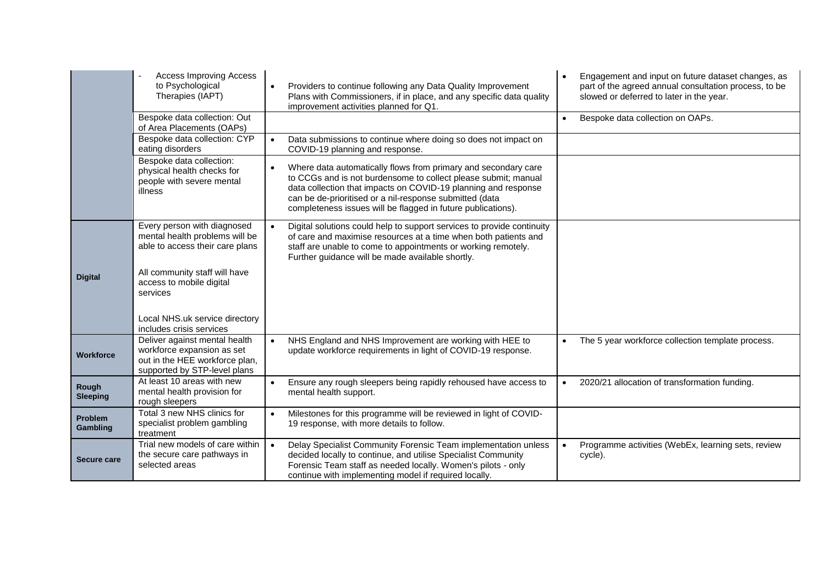|                          | <b>Access Improving Access</b><br>to Psychological<br>Therapies (IAPT)                                                        | Providers to continue following any Data Quality Improvement<br>$\bullet$<br>Plans with Commissioners, if in place, and any specific data quality<br>improvement activities planned for Q1.                                                                                                                                   | Engagement and input on future dataset changes, as<br>part of the agreed annual consultation process, to be<br>slowed or deferred to later in the year. |
|--------------------------|-------------------------------------------------------------------------------------------------------------------------------|-------------------------------------------------------------------------------------------------------------------------------------------------------------------------------------------------------------------------------------------------------------------------------------------------------------------------------|---------------------------------------------------------------------------------------------------------------------------------------------------------|
|                          | Bespoke data collection: Out<br>of Area Placements (OAPs)                                                                     |                                                                                                                                                                                                                                                                                                                               | Bespoke data collection on OAPs.<br>$\bullet$                                                                                                           |
|                          | Bespoke data collection: CYP<br>eating disorders                                                                              | Data submissions to continue where doing so does not impact on<br>$\bullet$<br>COVID-19 planning and response.                                                                                                                                                                                                                |                                                                                                                                                         |
|                          | Bespoke data collection:<br>physical health checks for<br>people with severe mental<br>illness                                | Where data automatically flows from primary and secondary care<br>to CCGs and is not burdensome to collect please submit; manual<br>data collection that impacts on COVID-19 planning and response<br>can be de-prioritised or a nil-response submitted (data<br>completeness issues will be flagged in future publications). |                                                                                                                                                         |
|                          | Every person with diagnosed<br>mental health problems will be<br>able to access their care plans                              | Digital solutions could help to support services to provide continuity<br>$\bullet$<br>of care and maximise resources at a time when both patients and<br>staff are unable to come to appointments or working remotely.<br>Further guidance will be made available shortly.                                                   |                                                                                                                                                         |
| <b>Digital</b>           | All community staff will have<br>access to mobile digital<br>services                                                         |                                                                                                                                                                                                                                                                                                                               |                                                                                                                                                         |
|                          | Local NHS.uk service directory<br>includes crisis services                                                                    |                                                                                                                                                                                                                                                                                                                               |                                                                                                                                                         |
| <b>Workforce</b>         | Deliver against mental health<br>workforce expansion as set<br>out in the HEE workforce plan,<br>supported by STP-level plans | NHS England and NHS Improvement are working with HEE to<br>$\bullet$<br>update workforce requirements in light of COVID-19 response.                                                                                                                                                                                          | The 5 year workforce collection template process.<br>$\bullet$                                                                                          |
| Rough<br><b>Sleeping</b> | At least 10 areas with new<br>mental health provision for<br>rough sleepers                                                   | Ensure any rough sleepers being rapidly rehoused have access to<br>$\bullet$<br>mental health support.                                                                                                                                                                                                                        | 2020/21 allocation of transformation funding.<br>$\bullet$                                                                                              |
| Problem<br>Gambling      | Total 3 new NHS clinics for<br>specialist problem gambling<br>treatment                                                       | Milestones for this programme will be reviewed in light of COVID-<br>$\bullet$<br>19 response, with more details to follow.                                                                                                                                                                                                   |                                                                                                                                                         |
| Secure care              | Trial new models of care within<br>the secure care pathways in<br>selected areas                                              | Delay Specialist Community Forensic Team implementation unless<br>$\bullet$<br>decided locally to continue, and utilise Specialist Community<br>Forensic Team staff as needed locally. Women's pilots - only<br>continue with implementing model if required locally.                                                         | Programme activities (WebEx, learning sets, review<br>$\bullet$<br>cycle).                                                                              |